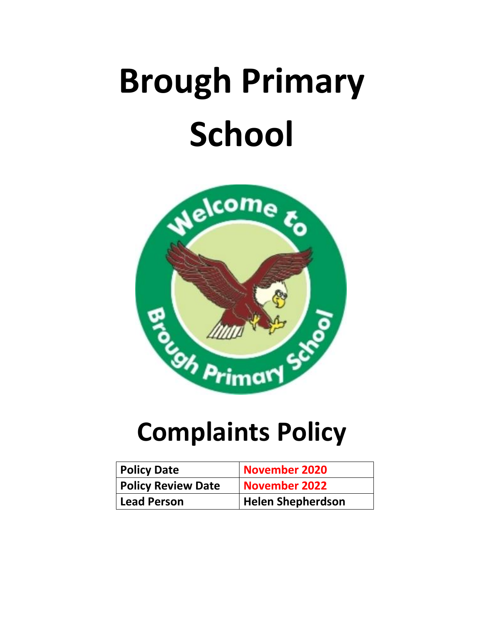# **Brough Primary School**



# **Complaints Policy**

| <b>Policy Date</b>        | November 2020            |
|---------------------------|--------------------------|
| <b>Policy Review Date</b> | November 2022            |
| Lead Person               | <b>Helen Shepherdson</b> |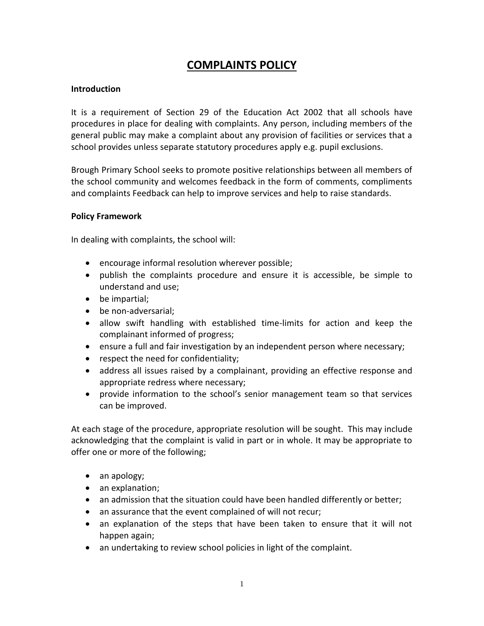# **COMPLAINTS POLICY**

# **Introduction**

It is a requirement of Section 29 of the Education Act 2002 that all schools have procedures in place for dealing with complaints. Any person, including members of the general public may make a complaint about any provision of facilities or services that a school provides unless separate statutory procedures apply e.g. pupil exclusions.

Brough Primary School seeks to promote positive relationships between all members of the school community and welcomes feedback in the form of comments, compliments and complaints Feedback can help to improve services and help to raise standards.

### **Policy Framework**

In dealing with complaints, the school will:

- encourage informal resolution wherever possible;
- publish the complaints procedure and ensure it is accessible, be simple to understand and use;
- be impartial;
- be non-adversarial;
- allow swift handling with established time-limits for action and keep the complainant informed of progress;
- ensure a full and fair investigation by an independent person where necessary;
- respect the need for confidentiality;
- address all issues raised by a complainant, providing an effective response and appropriate redress where necessary;
- provide information to the school's senior management team so that services can be improved.

At each stage of the procedure, appropriate resolution will be sought. This may include acknowledging that the complaint is valid in part or in whole. It may be appropriate to offer one or more of the following;

- an apology;
- an explanation;
- an admission that the situation could have been handled differently or better;
- an assurance that the event complained of will not recur;
- an explanation of the steps that have been taken to ensure that it will not happen again;
- an undertaking to review school policies in light of the complaint.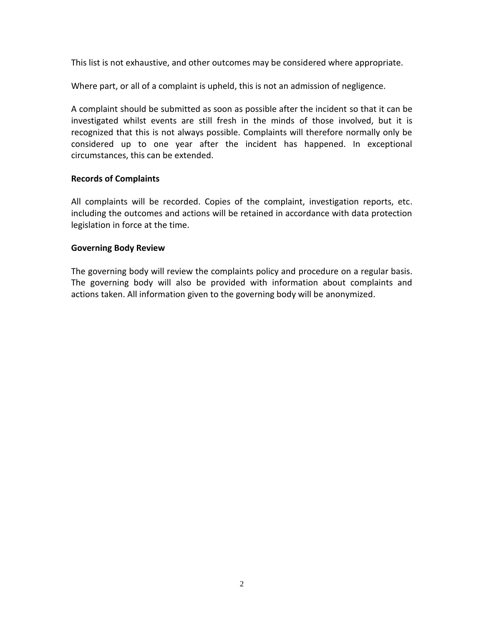This list is not exhaustive, and other outcomes may be considered where appropriate.

Where part, or all of a complaint is upheld, this is not an admission of negligence.

A complaint should be submitted as soon as possible after the incident so that it can be investigated whilst events are still fresh in the minds of those involved, but it is recognized that this is not always possible. Complaints will therefore normally only be considered up to one year after the incident has happened. In exceptional circumstances, this can be extended.

# **Records of Complaints**

All complaints will be recorded. Copies of the complaint, investigation reports, etc. including the outcomes and actions will be retained in accordance with data protection legislation in force at the time.

# **Governing Body Review**

The governing body will review the complaints policy and procedure on a regular basis. The governing body will also be provided with information about complaints and actions taken. All information given to the governing body will be anonymized.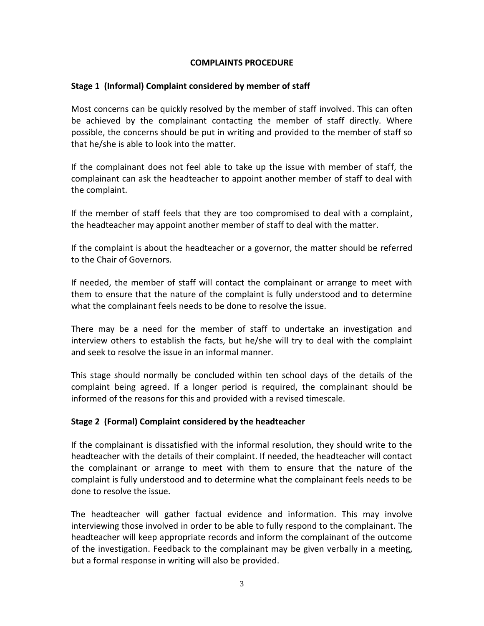# **COMPLAINTS PROCEDURE**

# **Stage 1 (Informal) Complaint considered by member of staff**

Most concerns can be quickly resolved by the member of staff involved. This can often be achieved by the complainant contacting the member of staff directly. Where possible, the concerns should be put in writing and provided to the member of staff so that he/she is able to look into the matter.

If the complainant does not feel able to take up the issue with member of staff, the complainant can ask the headteacher to appoint another member of staff to deal with the complaint.

If the member of staff feels that they are too compromised to deal with a complaint, the headteacher may appoint another member of staff to deal with the matter.

If the complaint is about the headteacher or a governor, the matter should be referred to the Chair of Governors.

If needed, the member of staff will contact the complainant or arrange to meet with them to ensure that the nature of the complaint is fully understood and to determine what the complainant feels needs to be done to resolve the issue.

There may be a need for the member of staff to undertake an investigation and interview others to establish the facts, but he/she will try to deal with the complaint and seek to resolve the issue in an informal manner.

This stage should normally be concluded within ten school days of the details of the complaint being agreed. If a longer period is required, the complainant should be informed of the reasons for this and provided with a revised timescale.

# **Stage 2 (Formal) Complaint considered by the headteacher**

If the complainant is dissatisfied with the informal resolution, they should write to the headteacher with the details of their complaint. If needed, the headteacher will contact the complainant or arrange to meet with them to ensure that the nature of the complaint is fully understood and to determine what the complainant feels needs to be done to resolve the issue.

The headteacher will gather factual evidence and information. This may involve interviewing those involved in order to be able to fully respond to the complainant. The headteacher will keep appropriate records and inform the complainant of the outcome of the investigation. Feedback to the complainant may be given verbally in a meeting, but a formal response in writing will also be provided.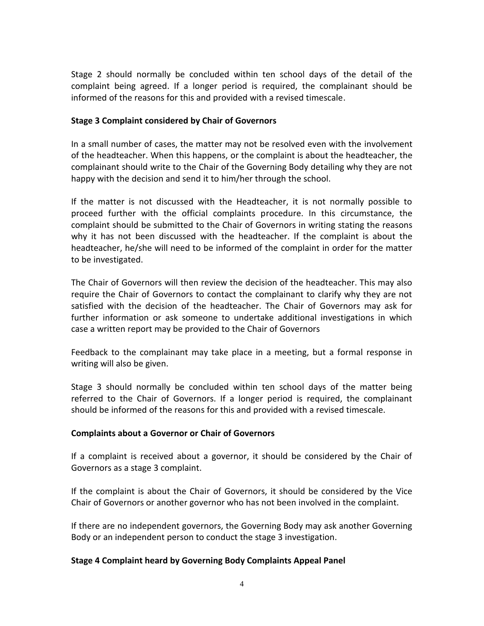Stage 2 should normally be concluded within ten school days of the detail of the complaint being agreed. If a longer period is required, the complainant should be informed of the reasons for this and provided with a revised timescale.

# **Stage 3 Complaint considered by Chair of Governors**

In a small number of cases, the matter may not be resolved even with the involvement of the headteacher. When this happens, or the complaint is about the headteacher, the complainant should write to the Chair of the Governing Body detailing why they are not happy with the decision and send it to him/her through the school.

If the matter is not discussed with the Headteacher, it is not normally possible to proceed further with the official complaints procedure. In this circumstance, the complaint should be submitted to the Chair of Governors in writing stating the reasons why it has not been discussed with the headteacher. If the complaint is about the headteacher, he/she will need to be informed of the complaint in order for the matter to be investigated.

The Chair of Governors will then review the decision of the headteacher. This may also require the Chair of Governors to contact the complainant to clarify why they are not satisfied with the decision of the headteacher. The Chair of Governors may ask for further information or ask someone to undertake additional investigations in which case a written report may be provided to the Chair of Governors

Feedback to the complainant may take place in a meeting, but a formal response in writing will also be given.

Stage 3 should normally be concluded within ten school days of the matter being referred to the Chair of Governors. If a longer period is required, the complainant should be informed of the reasons for this and provided with a revised timescale.

# **Complaints about a Governor or Chair of Governors**

If a complaint is received about a governor, it should be considered by the Chair of Governors as a stage 3 complaint.

If the complaint is about the Chair of Governors, it should be considered by the Vice Chair of Governors or another governor who has not been involved in the complaint.

If there are no independent governors, the Governing Body may ask another Governing Body or an independent person to conduct the stage 3 investigation.

# **Stage 4 Complaint heard by Governing Body Complaints Appeal Panel**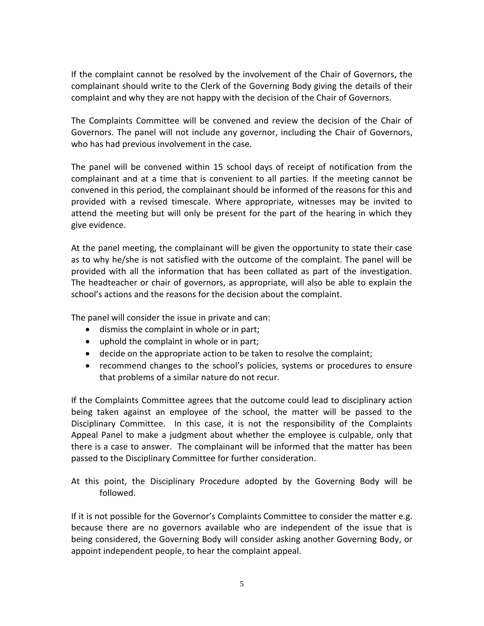If the complaint cannot be resolved by the involvement of the Chair of Governors, the complainant should write to the Clerk of the Governing Body giving the details of their complaint and why they are not happy with the decision of the Chair of Governors.

The Complaints Committee will be convened and review the decision of the Chair of Governors. The panel will not include any governor, including the Chair of Governors, who has had previous involvement in the case.

The panel will be convened within 15 school days of receipt of notification from the complainant and at a time that is convenient to all parties. If the meeting cannot be convened in this period, the complainant should be informed of the reasons for this and provided with a revised timescale. Where appropriate, witnesses may be invited to attend the meeting but will only be present for the part of the hearing in which they give evidence.

At the panel meeting, the complainant will be given the opportunity to state their case as to why he/she is not satisfied with the outcome of the complaint. The panel will be provided with all the information that has been collated as part of the investigation. The headteacher or chair of governors, as appropriate, will also be able to explain the school's actions and the reasons for the decision about the complaint.

The panel will consider the issue in private and can:

- dismiss the complaint in whole or in part;
- uphold the complaint in whole or in part;
- decide on the appropriate action to be taken to resolve the complaint;
- recommend changes to the school's policies, systems or procedures to ensure that problems of a similar nature do not recur.

If the Complaints Committee agrees that the outcome could lead to disciplinary action being taken against an employee of the school, the matter will be passed to the Disciplinary Committee. In this case, it is not the responsibility of the Complaints Appeal Panel to make a judgment about whether the employee is culpable, only that there is a case to answer. The complainant will be informed that the matter has been passed to the Disciplinary Committee for further consideration.

At this point, the Disciplinary Procedure adopted by the Governing Body will be followed.

If it is not possible for the Governor's Complaints Committee to consider the matter e.g. because there are no governors available who are independent of the issue that is being considered, the Governing Body will consider asking another Governing Body, or appoint independent people, to hear the complaint appeal.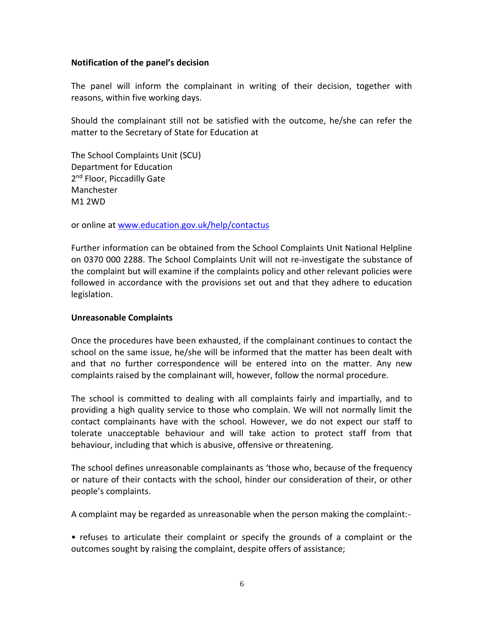## **Notification of the panel's decision**

The panel will inform the complainant in writing of their decision, together with reasons, within five working days.

Should the complainant still not be satisfied with the outcome, he/she can refer the matter to the Secretary of State for Education at

The School Complaints Unit (SCU) Department for Education 2<sup>nd</sup> Floor, Piccadilly Gate Manchester M1 2WD

or online at [www.education.gov.uk/help/contactus](http://www.education.gov.uk/help/contactus)

Further information can be obtained from the School Complaints Unit National Helpline on 0370 000 2288. The School Complaints Unit will not re-investigate the substance of the complaint but will examine if the complaints policy and other relevant policies were followed in accordance with the provisions set out and that they adhere to education legislation.

# **Unreasonable Complaints**

Once the procedures have been exhausted, if the complainant continues to contact the school on the same issue, he/she will be informed that the matter has been dealt with and that no further correspondence will be entered into on the matter. Any new complaints raised by the complainant will, however, follow the normal procedure.

The school is committed to dealing with all complaints fairly and impartially, and to providing a high quality service to those who complain. We will not normally limit the contact complainants have with the school. However, we do not expect our staff to tolerate unacceptable behaviour and will take action to protect staff from that behaviour, including that which is abusive, offensive or threatening.

The school defines unreasonable complainants as 'those who, because of the frequency or nature of their contacts with the school, hinder our consideration of their, or other people's complaints.

A complaint may be regarded as unreasonable when the person making the complaint:-

• refuses to articulate their complaint or specify the grounds of a complaint or the outcomes sought by raising the complaint, despite offers of assistance;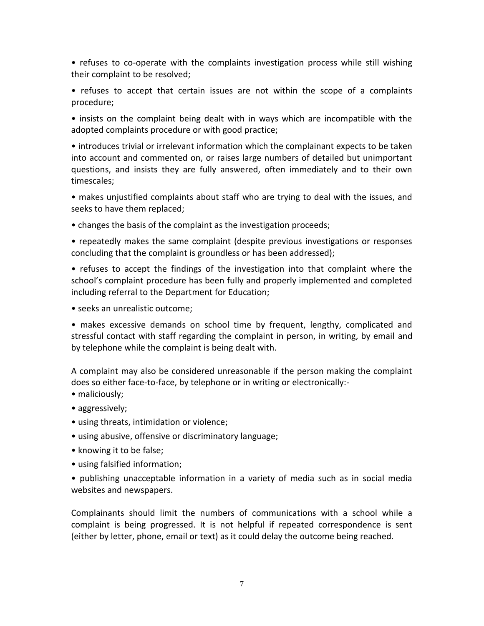• refuses to co-operate with the complaints investigation process while still wishing their complaint to be resolved;

• refuses to accept that certain issues are not within the scope of a complaints procedure;

• insists on the complaint being dealt with in ways which are incompatible with the adopted complaints procedure or with good practice;

• introduces trivial or irrelevant information which the complainant expects to be taken into account and commented on, or raises large numbers of detailed but unimportant questions, and insists they are fully answered, often immediately and to their own timescales;

• makes unjustified complaints about staff who are trying to deal with the issues, and seeks to have them replaced;

• changes the basis of the complaint as the investigation proceeds;

• repeatedly makes the same complaint (despite previous investigations or responses concluding that the complaint is groundless or has been addressed);

• refuses to accept the findings of the investigation into that complaint where the school's complaint procedure has been fully and properly implemented and completed including referral to the Department for Education;

• seeks an unrealistic outcome;

• makes excessive demands on school time by frequent, lengthy, complicated and stressful contact with staff regarding the complaint in person, in writing, by email and by telephone while the complaint is being dealt with.

A complaint may also be considered unreasonable if the person making the complaint does so either face-to-face, by telephone or in writing or electronically:-

- maliciously;
- aggressively;
- using threats, intimidation or violence;
- using abusive, offensive or discriminatory language;
- knowing it to be false;
- using falsified information;

• publishing unacceptable information in a variety of media such as in social media websites and newspapers.

Complainants should limit the numbers of communications with a school while a complaint is being progressed. It is not helpful if repeated correspondence is sent (either by letter, phone, email or text) as it could delay the outcome being reached.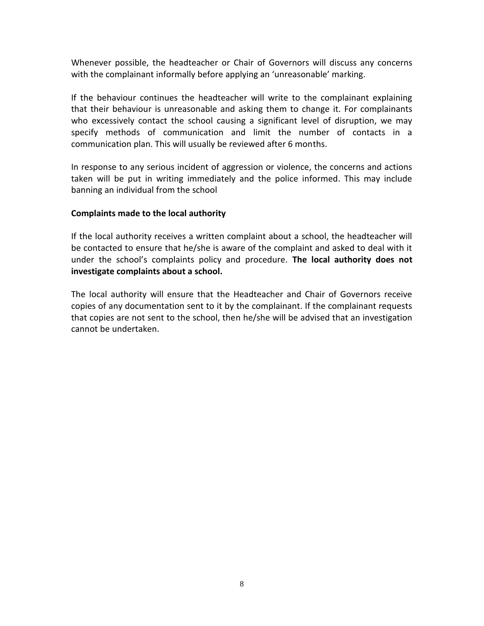Whenever possible, the headteacher or Chair of Governors will discuss any concerns with the complainant informally before applying an 'unreasonable' marking.

If the behaviour continues the headteacher will write to the complainant explaining that their behaviour is unreasonable and asking them to change it. For complainants who excessively contact the school causing a significant level of disruption, we may specify methods of communication and limit the number of contacts in a communication plan. This will usually be reviewed after 6 months.

In response to any serious incident of aggression or violence, the concerns and actions taken will be put in writing immediately and the police informed. This may include banning an individual from the school

# **Complaints made to the local authority**

If the local authority receives a written complaint about a school, the headteacher will be contacted to ensure that he/she is aware of the complaint and asked to deal with it under the school's complaints policy and procedure. **The local authority does not investigate complaints about a school.**

The local authority will ensure that the Headteacher and Chair of Governors receive copies of any documentation sent to it by the complainant. If the complainant requests that copies are not sent to the school, then he/she will be advised that an investigation cannot be undertaken.